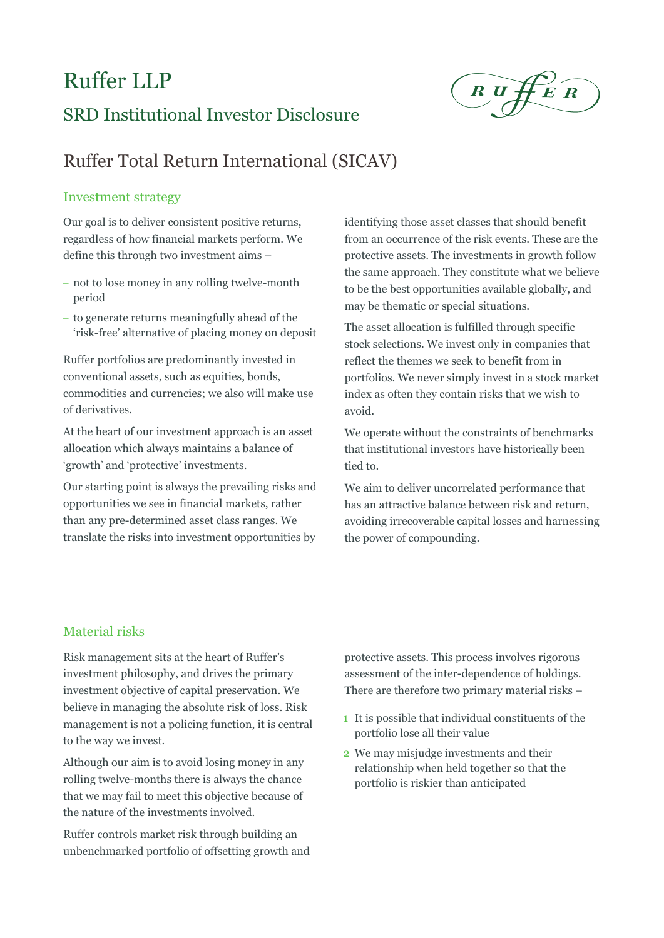# Ruffer LLP

 $R \cup H E R$ 

## SRD Institutional Investor Disclosure

## Ruffer Total Return International (SICAV)

#### Investment strategy

Our goal is to deliver consistent positive returns, regardless of how financial markets perform. We define this through two investment aims –

- not to lose money in any rolling twelve-month period
- to generate returns meaningfully ahead of the 'risk-free' alternative of placing money on deposit

Ruffer portfolios are predominantly invested in conventional assets, such as equities, bonds, commodities and currencies; we also will make use of derivatives.

At the heart of our investment approach is an asset allocation which always maintains a balance of 'growth' and 'protective' investments.

Our starting point is always the prevailing risks and opportunities we see in financial markets, rather than any pre-determined asset class ranges. We translate the risks into investment opportunities by identifying those asset classes that should benefit from an occurrence of the risk events. These are the protective assets. The investments in growth follow the same approach. They constitute what we believe to be the best opportunities available globally, and may be thematic or special situations.

The asset allocation is fulfilled through specific stock selections. We invest only in companies that reflect the themes we seek to benefit from in portfolios. We never simply invest in a stock market index as often they contain risks that we wish to avoid.

We operate without the constraints of benchmarks that institutional investors have historically been tied to.

We aim to deliver uncorrelated performance that has an attractive balance between risk and return, avoiding irrecoverable capital losses and harnessing the power of compounding.

### Material risks

Risk management sits at the heart of Ruffer's investment philosophy, and drives the primary investment objective of capital preservation. We believe in managing the absolute risk of loss. Risk management is not a policing function, it is central to the way we invest.

Although our aim is to avoid losing money in any rolling twelve-months there is always the chance that we may fail to meet this objective because of the nature of the investments involved.

Ruffer controls market risk through building an unbenchmarked portfolio of offsetting growth and

protective assets. This process involves rigorous assessment of the inter-dependence of holdings. There are therefore two primary material risks –

- 1 It is possible that individual constituents of the portfolio lose all their value
- 2 We may misjudge investments and their relationship when held together so that the portfolio is riskier than anticipated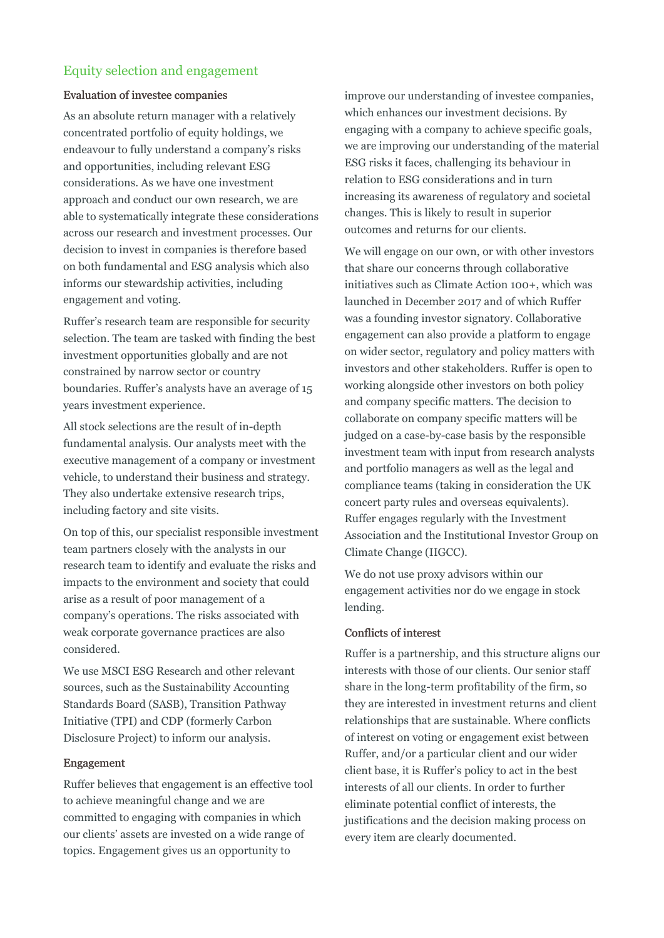### Equity selection and engagement

#### Evaluation of investee companies

As an absolute return manager with a relatively concentrated portfolio of equity holdings, we endeavour to fully understand a company's risks and opportunities, including relevant ESG considerations. As we have one investment approach and conduct our own research, we are able to systematically integrate these considerations across our research and investment processes. Our decision to invest in companies is therefore based on both fundamental and ESG analysis which also informs our stewardship activities, including engagement and voting.

Ruffer's research team are responsible for security selection. The team are tasked with finding the best investment opportunities globally and are not constrained by narrow sector or country boundaries. Ruffer's analysts have an average of 15 years investment experience.

All stock selections are the result of in-depth fundamental analysis. Our analysts meet with the executive management of a company or investment vehicle, to understand their business and strategy. They also undertake extensive research trips, including factory and site visits.

On top of this, our specialist responsible investment team partners closely with the analysts in our research team to identify and evaluate the risks and impacts to the environment and society that could arise as a result of poor management of a company's operations. The risks associated with weak corporate governance practices are also considered.

We use MSCI ESG Research and other relevant sources, such as the Sustainability Accounting Standards Board (SASB), Transition Pathway Initiative (TPI) and CDP (formerly Carbon Disclosure Project) to inform our analysis.

#### Engagement

Ruffer believes that engagement is an effective tool to achieve meaningful change and we are committed to engaging with companies in which our clients' assets are invested on a wide range of topics. Engagement gives us an opportunity to

improve our understanding of investee companies, which enhances our investment decisions. By engaging with a company to achieve specific goals, we are improving our understanding of the material ESG risks it faces, challenging its behaviour in relation to ESG considerations and in turn increasing its awareness of regulatory and societal changes. This is likely to result in superior outcomes and returns for our clients.

We will engage on our own, or with other investors that share our concerns through collaborative initiatives such as Climate Action 100+, which was launched in December 2017 and of which Ruffer was a founding investor signatory. Collaborative engagement can also provide a platform to engage on wider sector, regulatory and policy matters with investors and other stakeholders. Ruffer is open to working alongside other investors on both policy and company specific matters. The decision to collaborate on company specific matters will be judged on a case-by-case basis by the responsible investment team with input from research analysts and portfolio managers as well as the legal and compliance teams (taking in consideration the UK concert party rules and overseas equivalents). Ruffer engages regularly with the Investment Association and the Institutional Investor Group on Climate Change (IIGCC).

We do not use proxy advisors within our engagement activities nor do we engage in stock lending.

#### Conflicts of interest

Ruffer is a partnership, and this structure aligns our interests with those of our clients. Our senior staff share in the long-term profitability of the firm, so they are interested in investment returns and client relationships that are sustainable. Where conflicts of interest on voting or engagement exist between Ruffer, and/or a particular client and our wider client base, it is Ruffer's policy to act in the best interests of all our clients. In order to further eliminate potential conflict of interests, the justifications and the decision making process on every item are clearly documented.